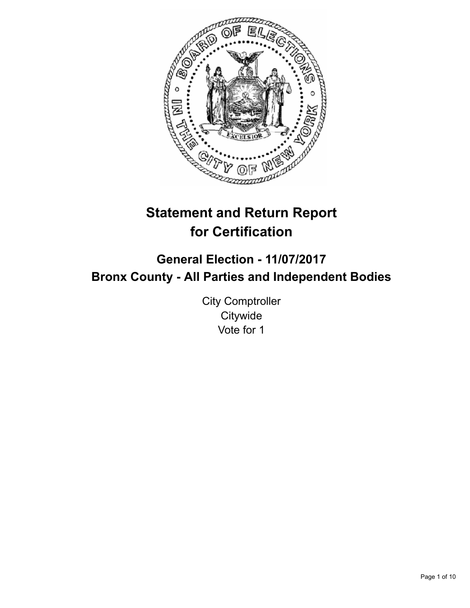

# **Statement and Return Report for Certification**

## **General Election - 11/07/2017 Bronx County - All Parties and Independent Bodies**

City Comptroller **Citywide** Vote for 1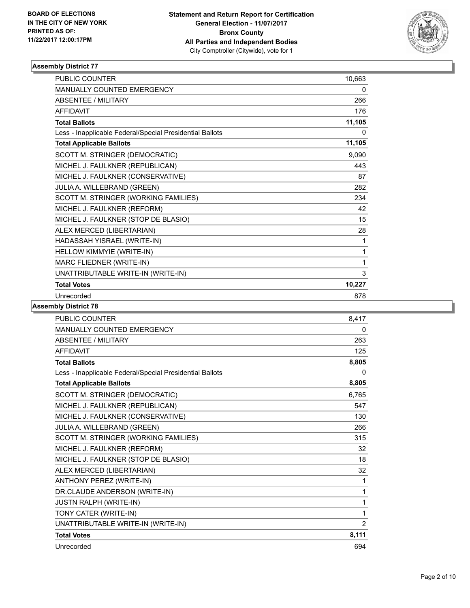

| <b>PUBLIC COUNTER</b>                                    | 10,663 |
|----------------------------------------------------------|--------|
| MANUALLY COUNTED EMERGENCY                               | 0      |
| <b>ABSENTEE / MILITARY</b>                               | 266    |
| <b>AFFIDAVIT</b>                                         | 176    |
| <b>Total Ballots</b>                                     | 11,105 |
| Less - Inapplicable Federal/Special Presidential Ballots | 0      |
| <b>Total Applicable Ballots</b>                          | 11,105 |
| SCOTT M. STRINGER (DEMOCRATIC)                           | 9,090  |
| MICHEL J. FAULKNER (REPUBLICAN)                          | 443    |
| MICHEL J. FAULKNER (CONSERVATIVE)                        | 87     |
| JULIA A. WILLEBRAND (GREEN)                              | 282    |
| SCOTT M. STRINGER (WORKING FAMILIES)                     | 234    |
| MICHEL J. FAULKNER (REFORM)                              | 42     |
| MICHEL J. FAULKNER (STOP DE BLASIO)                      | 15     |
| ALEX MERCED (LIBERTARIAN)                                | 28     |
| HADASSAH YISRAEL (WRITE-IN)                              | 1      |
| HELLOW KIMMYIE (WRITE-IN)                                | 1      |
| MARC FLIEDNER (WRITE-IN)                                 | 1      |
| UNATTRIBUTABLE WRITE-IN (WRITE-IN)                       | 3      |
| <b>Total Votes</b>                                       | 10,227 |
| Unrecorded                                               | 878    |

| <b>PUBLIC COUNTER</b>                                    | 8.417        |
|----------------------------------------------------------|--------------|
| <b>MANUALLY COUNTED EMERGENCY</b>                        | 0            |
| <b>ABSENTEE / MILITARY</b>                               | 263          |
| <b>AFFIDAVIT</b>                                         | 125          |
| <b>Total Ballots</b>                                     | 8,805        |
| Less - Inapplicable Federal/Special Presidential Ballots | 0            |
| <b>Total Applicable Ballots</b>                          | 8,805        |
| SCOTT M. STRINGER (DEMOCRATIC)                           | 6,765        |
| MICHEL J. FAULKNER (REPUBLICAN)                          | 547          |
| MICHEL J. FAULKNER (CONSERVATIVE)                        | 130          |
| JULIA A. WILLEBRAND (GREEN)                              | 266          |
| SCOTT M. STRINGER (WORKING FAMILIES)                     | 315          |
| MICHEL J. FAULKNER (REFORM)                              | 32           |
| MICHEL J. FAULKNER (STOP DE BLASIO)                      | 18           |
| ALEX MERCED (LIBERTARIAN)                                | 32           |
| ANTHONY PEREZ (WRITE-IN)                                 | 1            |
| DR.CLAUDE ANDERSON (WRITE-IN)                            | 1            |
| <b>JUSTN RALPH (WRITE-IN)</b>                            | 1            |
| TONY CATER (WRITE-IN)                                    | $\mathbf{1}$ |
| UNATTRIBUTABLE WRITE-IN (WRITE-IN)                       | 2            |
| <b>Total Votes</b>                                       | 8,111        |
| Unrecorded                                               | 694          |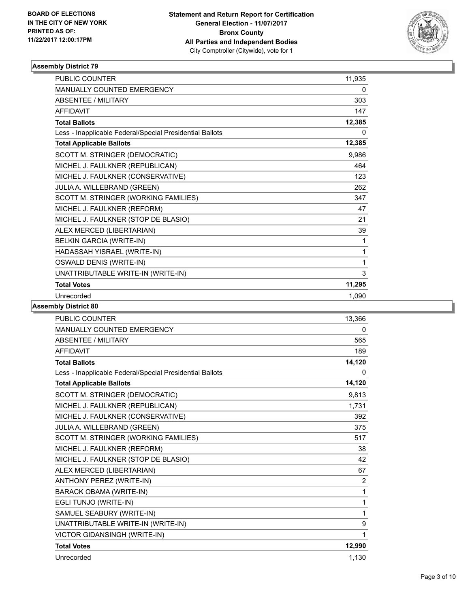

| <b>PUBLIC COUNTER</b>                                    | 11,935 |
|----------------------------------------------------------|--------|
| MANUALLY COUNTED EMERGENCY                               | 0      |
| <b>ABSENTEE / MILITARY</b>                               | 303    |
| <b>AFFIDAVIT</b>                                         | 147    |
| <b>Total Ballots</b>                                     | 12,385 |
| Less - Inapplicable Federal/Special Presidential Ballots | 0      |
| <b>Total Applicable Ballots</b>                          | 12,385 |
| SCOTT M. STRINGER (DEMOCRATIC)                           | 9,986  |
| MICHEL J. FAULKNER (REPUBLICAN)                          | 464    |
| MICHEL J. FAULKNER (CONSERVATIVE)                        | 123    |
| JULIA A. WILLEBRAND (GREEN)                              | 262    |
| SCOTT M. STRINGER (WORKING FAMILIES)                     | 347    |
| MICHEL J. FAULKNER (REFORM)                              | 47     |
| MICHEL J. FAULKNER (STOP DE BLASIO)                      | 21     |
| ALEX MERCED (LIBERTARIAN)                                | 39     |
| BELKIN GARCIA (WRITE-IN)                                 | 1      |
| HADASSAH YISRAEL (WRITE-IN)                              | 1      |
| <b>OSWALD DENIS (WRITE-IN)</b>                           | 1      |
| UNATTRIBUTABLE WRITE-IN (WRITE-IN)                       | 3      |
| <b>Total Votes</b>                                       | 11,295 |
| Unrecorded                                               | 1,090  |

| <b>PUBLIC COUNTER</b>                                    | 13,366 |
|----------------------------------------------------------|--------|
| <b>MANUALLY COUNTED EMERGENCY</b>                        | 0      |
| <b>ABSENTEE / MILITARY</b>                               | 565    |
| <b>AFFIDAVIT</b>                                         | 189    |
| <b>Total Ballots</b>                                     | 14,120 |
| Less - Inapplicable Federal/Special Presidential Ballots | 0      |
| <b>Total Applicable Ballots</b>                          | 14,120 |
| SCOTT M. STRINGER (DEMOCRATIC)                           | 9,813  |
| MICHEL J. FAULKNER (REPUBLICAN)                          | 1,731  |
| MICHEL J. FAULKNER (CONSERVATIVE)                        | 392    |
| JULIA A. WILLEBRAND (GREEN)                              | 375    |
| SCOTT M. STRINGER (WORKING FAMILIES)                     | 517    |
| MICHEL J. FAULKNER (REFORM)                              | 38     |
| MICHEL J. FAULKNER (STOP DE BLASIO)                      | 42     |
| ALEX MERCED (LIBERTARIAN)                                | 67     |
| ANTHONY PEREZ (WRITE-IN)                                 | 2      |
| <b>BARACK OBAMA (WRITE-IN)</b>                           | 1      |
| EGLI TUNJO (WRITE-IN)                                    | 1      |
| SAMUEL SEABURY (WRITE-IN)                                | 1      |
| UNATTRIBUTABLE WRITE-IN (WRITE-IN)                       | 9      |
| <b>VICTOR GIDANSINGH (WRITE-IN)</b>                      | 1      |
| <b>Total Votes</b>                                       | 12,990 |
| Unrecorded                                               | 1,130  |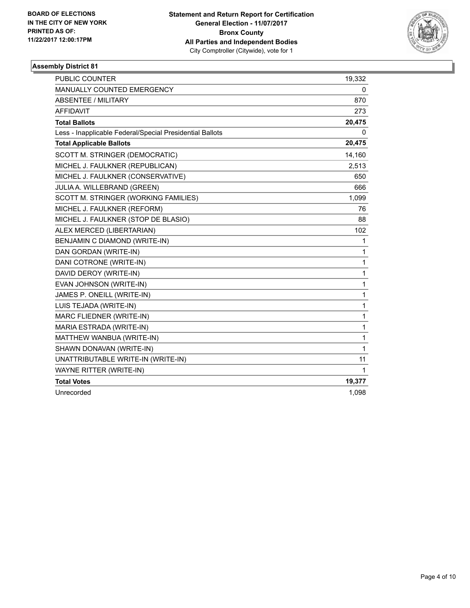

| <b>PUBLIC COUNTER</b>                                    | 19,332 |
|----------------------------------------------------------|--------|
| <b>MANUALLY COUNTED EMERGENCY</b>                        | 0      |
| <b>ABSENTEE / MILITARY</b>                               | 870    |
| <b>AFFIDAVIT</b>                                         | 273    |
| <b>Total Ballots</b>                                     | 20,475 |
| Less - Inapplicable Federal/Special Presidential Ballots | 0      |
| <b>Total Applicable Ballots</b>                          | 20,475 |
| SCOTT M. STRINGER (DEMOCRATIC)                           | 14,160 |
| MICHEL J. FAULKNER (REPUBLICAN)                          | 2,513  |
| MICHEL J. FAULKNER (CONSERVATIVE)                        | 650    |
| JULIA A. WILLEBRAND (GREEN)                              | 666    |
| SCOTT M. STRINGER (WORKING FAMILIES)                     | 1,099  |
| MICHEL J. FAULKNER (REFORM)                              | 76     |
| MICHEL J. FAULKNER (STOP DE BLASIO)                      | 88     |
| ALEX MERCED (LIBERTARIAN)                                | 102    |
| BENJAMIN C DIAMOND (WRITE-IN)                            | 1      |
| DAN GORDAN (WRITE-IN)                                    | 1      |
| DANI COTRONE (WRITE-IN)                                  | 1      |
| DAVID DEROY (WRITE-IN)                                   | 1      |
| EVAN JOHNSON (WRITE-IN)                                  | 1      |
| JAMES P. ONEILL (WRITE-IN)                               | 1      |
| LUIS TEJADA (WRITE-IN)                                   | 1      |
| MARC FLIEDNER (WRITE-IN)                                 | 1      |
| MARIA ESTRADA (WRITE-IN)                                 | 1      |
| MATTHEW WANBUA (WRITE-IN)                                | 1      |
| SHAWN DONAVAN (WRITE-IN)                                 | 1      |
| UNATTRIBUTABLE WRITE-IN (WRITE-IN)                       | 11     |
| WAYNE RITTER (WRITE-IN)                                  | 1      |
| <b>Total Votes</b>                                       | 19,377 |
| Unrecorded                                               | 1,098  |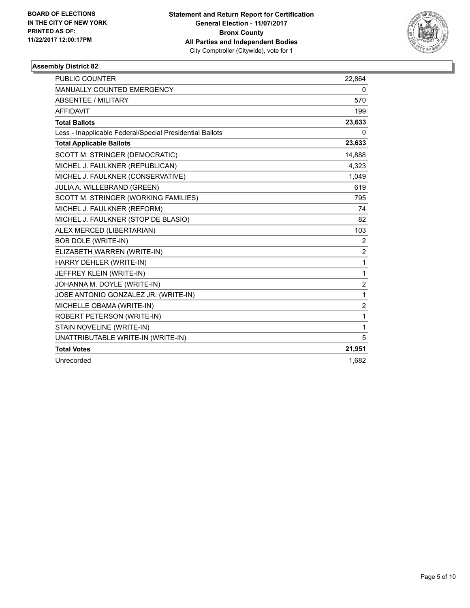

| <b>PUBLIC COUNTER</b>                                    | 22,864         |
|----------------------------------------------------------|----------------|
| MANUALLY COUNTED EMERGENCY                               | 0              |
| <b>ABSENTEE / MILITARY</b>                               | 570            |
| <b>AFFIDAVIT</b>                                         | 199            |
| <b>Total Ballots</b>                                     | 23,633         |
| Less - Inapplicable Federal/Special Presidential Ballots | 0              |
| <b>Total Applicable Ballots</b>                          | 23,633         |
| SCOTT M. STRINGER (DEMOCRATIC)                           | 14,888         |
| MICHEL J. FAULKNER (REPUBLICAN)                          | 4,323          |
| MICHEL J. FAULKNER (CONSERVATIVE)                        | 1,049          |
| JULIA A. WILLEBRAND (GREEN)                              | 619            |
| SCOTT M. STRINGER (WORKING FAMILIES)                     | 795            |
| MICHEL J. FAULKNER (REFORM)                              | 74             |
| MICHEL J. FAULKNER (STOP DE BLASIO)                      | 82             |
| ALEX MERCED (LIBERTARIAN)                                | 103            |
| <b>BOB DOLE (WRITE-IN)</b>                               | 2              |
| ELIZABETH WARREN (WRITE-IN)                              | $\overline{2}$ |
| HARRY DEHLER (WRITE-IN)                                  | $\mathbf{1}$   |
| JEFFREY KLEIN (WRITE-IN)                                 | $\mathbf{1}$   |
| JOHANNA M. DOYLE (WRITE-IN)                              | $\overline{c}$ |
| JOSE ANTONIO GONZALEZ JR. (WRITE-IN)                     | $\mathbf{1}$   |
| MICHELLE OBAMA (WRITE-IN)                                | $\overline{2}$ |
| ROBERT PETERSON (WRITE-IN)                               | $\mathbf{1}$   |
| STAIN NOVELINE (WRITE-IN)                                | 1              |
| UNATTRIBUTABLE WRITE-IN (WRITE-IN)                       | 5              |
| <b>Total Votes</b>                                       | 21,951         |
| Unrecorded                                               | 1,682          |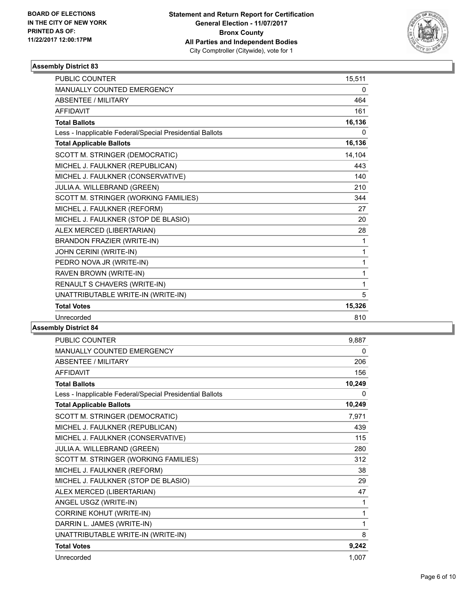

| <b>PUBLIC COUNTER</b>                                    | 15,511       |
|----------------------------------------------------------|--------------|
| <b>MANUALLY COUNTED EMERGENCY</b>                        | 0            |
| <b>ABSENTEE / MILITARY</b>                               | 464          |
| <b>AFFIDAVIT</b>                                         | 161          |
| <b>Total Ballots</b>                                     | 16,136       |
| Less - Inapplicable Federal/Special Presidential Ballots | 0            |
| <b>Total Applicable Ballots</b>                          | 16,136       |
| SCOTT M. STRINGER (DEMOCRATIC)                           | 14,104       |
| MICHEL J. FAULKNER (REPUBLICAN)                          | 443          |
| MICHEL J. FAULKNER (CONSERVATIVE)                        | 140          |
| JULIA A. WILLEBRAND (GREEN)                              | 210          |
| SCOTT M. STRINGER (WORKING FAMILIES)                     | 344          |
| MICHEL J. FAULKNER (REFORM)                              | 27           |
| MICHEL J. FAULKNER (STOP DE BLASIO)                      | 20           |
| ALEX MERCED (LIBERTARIAN)                                | 28           |
| <b>BRANDON FRAZIER (WRITE-IN)</b>                        | 1            |
| JOHN CERINI (WRITE-IN)                                   | $\mathbf{1}$ |
| PEDRO NOVA JR (WRITE-IN)                                 | 1            |
| RAVEN BROWN (WRITE-IN)                                   | $\mathbf{1}$ |
| RENAULT S CHAVERS (WRITE-IN)                             | 1            |
| UNATTRIBUTABLE WRITE-IN (WRITE-IN)                       | 5            |
| <b>Total Votes</b>                                       | 15,326       |
| Unrecorded                                               | 810          |
|                                                          |              |

| <b>PUBLIC COUNTER</b>                                    | 9,887  |
|----------------------------------------------------------|--------|
| <b>MANUALLY COUNTED EMERGENCY</b>                        | 0      |
| <b>ABSENTEE / MILITARY</b>                               | 206    |
| <b>AFFIDAVIT</b>                                         | 156    |
| <b>Total Ballots</b>                                     | 10,249 |
| Less - Inapplicable Federal/Special Presidential Ballots | 0      |
| <b>Total Applicable Ballots</b>                          | 10,249 |
| SCOTT M. STRINGER (DEMOCRATIC)                           | 7,971  |
| MICHEL J. FAULKNER (REPUBLICAN)                          | 439    |
| MICHEL J. FAULKNER (CONSERVATIVE)                        | 115    |
| JULIA A. WILLEBRAND (GREEN)                              | 280    |
| SCOTT M. STRINGER (WORKING FAMILIES)                     | 312    |
| MICHEL J. FAULKNER (REFORM)                              | 38     |
| MICHEL J. FAULKNER (STOP DE BLASIO)                      | 29     |
| ALEX MERCED (LIBERTARIAN)                                | 47     |
| ANGEL USGZ (WRITE-IN)                                    | 1      |
| <b>CORRINE KOHUT (WRITE-IN)</b>                          | 1      |
| DARRIN L. JAMES (WRITE-IN)                               | 1      |
| UNATTRIBUTABLE WRITE-IN (WRITE-IN)                       | 8      |
| <b>Total Votes</b>                                       | 9,242  |
| Unrecorded                                               | 1,007  |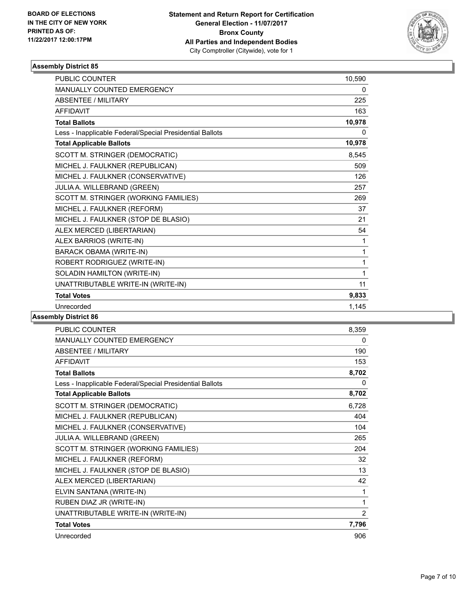

| <b>PUBLIC COUNTER</b>                                    | 10,590 |
|----------------------------------------------------------|--------|
| <b>MANUALLY COUNTED EMERGENCY</b>                        | 0      |
| <b>ABSENTEE / MILITARY</b>                               | 225    |
| <b>AFFIDAVIT</b>                                         | 163    |
| <b>Total Ballots</b>                                     | 10,978 |
| Less - Inapplicable Federal/Special Presidential Ballots | 0      |
| <b>Total Applicable Ballots</b>                          | 10,978 |
| SCOTT M. STRINGER (DEMOCRATIC)                           | 8,545  |
| MICHEL J. FAULKNER (REPUBLICAN)                          | 509    |
| MICHEL J. FAULKNER (CONSERVATIVE)                        | 126    |
| JULIA A. WILLEBRAND (GREEN)                              | 257    |
| SCOTT M. STRINGER (WORKING FAMILIES)                     | 269    |
| MICHEL J. FAULKNER (REFORM)                              | 37     |
| MICHEL J. FAULKNER (STOP DE BLASIO)                      | 21     |
| ALEX MERCED (LIBERTARIAN)                                | 54     |
| ALEX BARRIOS (WRITE-IN)                                  | 1      |
| <b>BARACK OBAMA (WRITE-IN)</b>                           | 1      |
| ROBERT RODRIGUEZ (WRITE-IN)                              | 1      |
| SOLADIN HAMILTON (WRITE-IN)                              | 1      |
| UNATTRIBUTABLE WRITE-IN (WRITE-IN)                       | 11     |
| <b>Total Votes</b>                                       | 9,833  |
| Unrecorded                                               | 1,145  |
| <b>LL. BL-4-L-4 00</b>                                   |        |

| PUBLIC COUNTER                                           | 8,359          |
|----------------------------------------------------------|----------------|
| MANUALLY COUNTED EMERGENCY                               | 0              |
| <b>ABSENTEE / MILITARY</b>                               | 190            |
| <b>AFFIDAVIT</b>                                         | 153            |
| <b>Total Ballots</b>                                     | 8,702          |
| Less - Inapplicable Federal/Special Presidential Ballots | 0              |
| <b>Total Applicable Ballots</b>                          | 8,702          |
| SCOTT M. STRINGER (DEMOCRATIC)                           | 6,728          |
| MICHEL J. FAULKNER (REPUBLICAN)                          | 404            |
| MICHEL J. FAULKNER (CONSERVATIVE)                        | 104            |
| JULIA A. WILLEBRAND (GREEN)                              | 265            |
| SCOTT M. STRINGER (WORKING FAMILIES)                     | 204            |
| MICHEL J. FAULKNER (REFORM)                              | 32             |
| MICHEL J. FAULKNER (STOP DE BLASIO)                      | 13             |
| ALEX MERCED (LIBERTARIAN)                                | 42             |
| ELVIN SANTANA (WRITE-IN)                                 | $\mathbf 1$    |
| RUBEN DIAZ JR (WRITE-IN)                                 | 1              |
| UNATTRIBUTABLE WRITE-IN (WRITE-IN)                       | $\overline{2}$ |
| <b>Total Votes</b>                                       | 7,796          |
| Unrecorded                                               | 906            |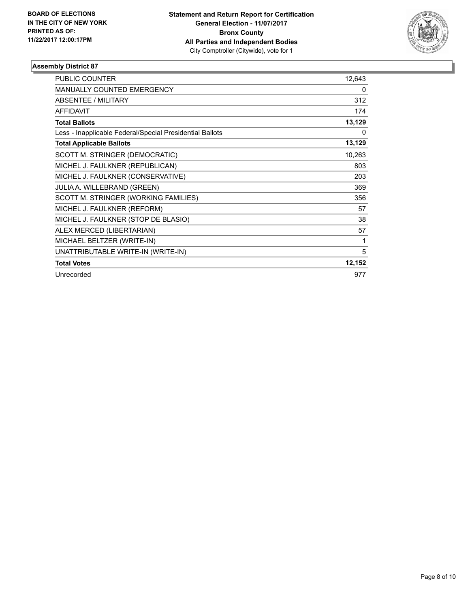

| <b>PUBLIC COUNTER</b>                                    | 12,643 |
|----------------------------------------------------------|--------|
| <b>MANUALLY COUNTED EMERGENCY</b>                        | 0      |
| ABSENTEE / MILITARY                                      | 312    |
| <b>AFFIDAVIT</b>                                         | 174    |
| <b>Total Ballots</b>                                     | 13,129 |
| Less - Inapplicable Federal/Special Presidential Ballots | 0      |
| <b>Total Applicable Ballots</b>                          | 13,129 |
| SCOTT M. STRINGER (DEMOCRATIC)                           | 10,263 |
| MICHEL J. FAULKNER (REPUBLICAN)                          | 803    |
| MICHEL J. FAULKNER (CONSERVATIVE)                        | 203    |
| JULIA A. WILLEBRAND (GREEN)                              | 369    |
| SCOTT M. STRINGER (WORKING FAMILIES)                     | 356    |
| MICHEL J. FAULKNER (REFORM)                              | 57     |
| MICHEL J. FAULKNER (STOP DE BLASIO)                      | 38     |
| ALEX MERCED (LIBERTARIAN)                                | 57     |
| MICHAEL BELTZER (WRITE-IN)                               | 1      |
| UNATTRIBUTABLE WRITE-IN (WRITE-IN)                       | 5      |
| <b>Total Votes</b>                                       | 12,152 |
| Unrecorded                                               | 977    |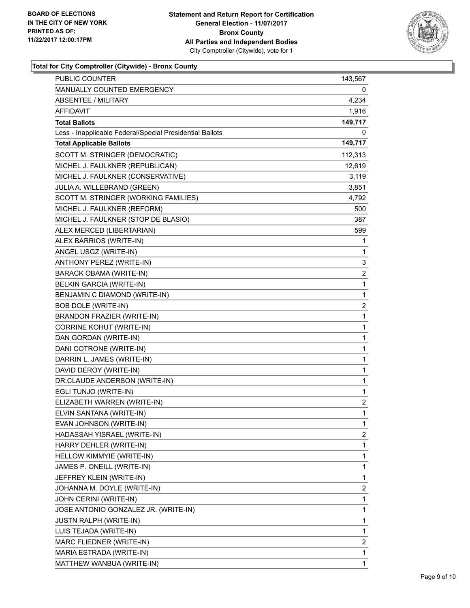

## **Total for City Comptroller (Citywide) - Bronx County**

| <b>PUBLIC COUNTER</b>                                    | 143,567 |
|----------------------------------------------------------|---------|
| MANUALLY COUNTED EMERGENCY                               | 0       |
| <b>ABSENTEE / MILITARY</b>                               | 4,234   |
| AFFIDAVIT                                                | 1,916   |
| <b>Total Ballots</b>                                     | 149,717 |
| Less - Inapplicable Federal/Special Presidential Ballots | 0       |
| <b>Total Applicable Ballots</b>                          | 149,717 |
| SCOTT M. STRINGER (DEMOCRATIC)                           | 112,313 |
| MICHEL J. FAULKNER (REPUBLICAN)                          | 12,619  |
| MICHEL J. FAULKNER (CONSERVATIVE)                        | 3,119   |
| JULIA A. WILLEBRAND (GREEN)                              | 3,851   |
| SCOTT M. STRINGER (WORKING FAMILIES)                     | 4,792   |
| MICHEL J. FAULKNER (REFORM)                              | 500     |
| MICHEL J. FAULKNER (STOP DE BLASIO)                      | 387     |
| ALEX MERCED (LIBERTARIAN)                                | 599     |
| ALEX BARRIOS (WRITE-IN)                                  | 1       |
| ANGEL USGZ (WRITE-IN)                                    | 1       |
| ANTHONY PEREZ (WRITE-IN)                                 | 3       |
| <b>BARACK OBAMA (WRITE-IN)</b>                           | 2       |
| BELKIN GARCIA (WRITE-IN)                                 | 1       |
| BENJAMIN C DIAMOND (WRITE-IN)                            | 1       |
| <b>BOB DOLE (WRITE-IN)</b>                               | 2       |
| BRANDON FRAZIER (WRITE-IN)                               | 1       |
| <b>CORRINE KOHUT (WRITE-IN)</b>                          | 1       |
| DAN GORDAN (WRITE-IN)                                    | 1       |
| DANI COTRONE (WRITE-IN)                                  | 1       |
| DARRIN L. JAMES (WRITE-IN)                               | 1       |
| DAVID DEROY (WRITE-IN)                                   | 1       |
| DR.CLAUDE ANDERSON (WRITE-IN)                            | 1       |
| EGLI TUNJO (WRITE-IN)                                    | 1       |
| ELIZABETH WARREN (WRITE-IN)                              | 2       |
| ELVIN SANTANA (WRITE-IN)                                 | 1       |
| EVAN JOHNSON (WRITE-IN)                                  | 1       |
| HADASSAH YISRAEL (WRITE-IN)                              | 2       |
| HARRY DEHLER (WRITE-IN)                                  | 1       |
| HELLOW KIMMYIE (WRITE-IN)                                | 1       |
| JAMES P. ONEILL (WRITE-IN)                               | 1       |
| JEFFREY KLEIN (WRITE-IN)                                 | 1       |
| JOHANNA M. DOYLE (WRITE-IN)                              | 2       |
| JOHN CERINI (WRITE-IN)                                   | 1       |
| JOSE ANTONIO GONZALEZ JR. (WRITE-IN)                     | 1       |
| <b>JUSTN RALPH (WRITE-IN)</b>                            | 1       |
| LUIS TEJADA (WRITE-IN)                                   | 1       |
| MARC FLIEDNER (WRITE-IN)                                 | 2       |
| MARIA ESTRADA (WRITE-IN)                                 | 1       |
| MATTHEW WANBUA (WRITE-IN)                                | 1       |